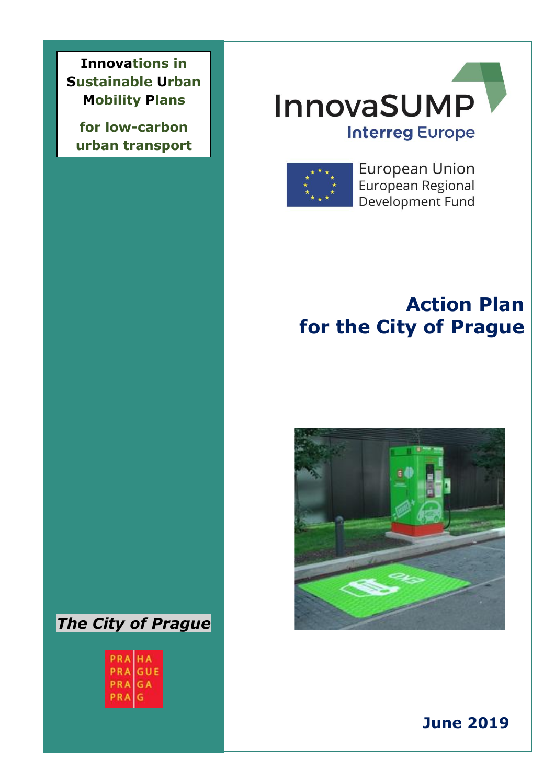**Innovations in Sustainable Urban Mobility Plans** 

 **urban transportfor low-carbon** 

# **InnovaSUMP Interreg Europe**



**European Union** European Regional Development Fund

## **Action Plan for the City of Prague**





PRAIHA PRAGUE PRAGA PRA G

 $\mathcal{M}$  of partner information  $\mathcal{M}$ 

**June 2019**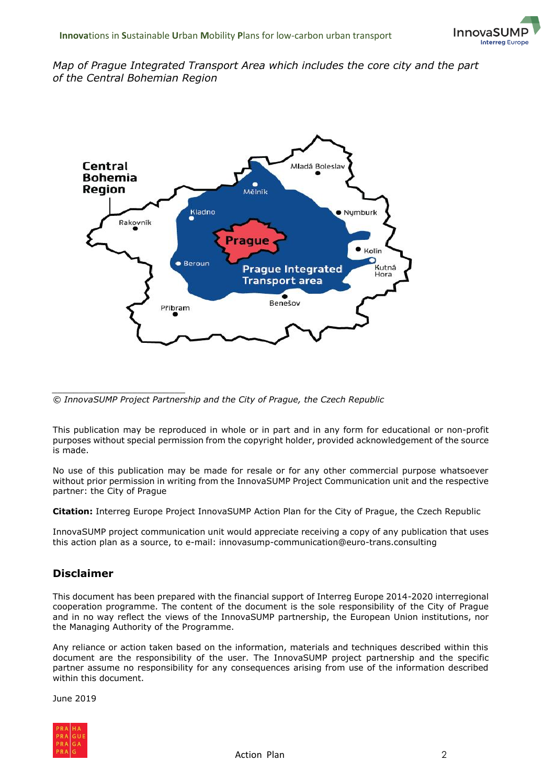#### *Map of Prague Integrated Transport Area which includes the core city and the part of the Central Bohemian Region*



*\_\_\_\_\_\_\_\_\_\_\_\_\_\_\_\_\_\_\_\_\_\_\_\_\_ © InnovaSUMP Project Partnership and the City of Prague, the Czech Republic*

This publication may be reproduced in whole or in part and in any form for educational or non-profit purposes without special permission from the copyright holder, provided acknowledgement of the source is made.

No use of this publication may be made for resale or for any other commercial purpose whatsoever without prior permission in writing from the InnovaSUMP Project Communication unit and the respective partner: the City of Prague

**Citation:** Interreg Europe Project InnovaSUMP Action Plan for the City of Prague, the Czech Republic

InnovaSUMP project communication unit would appreciate receiving a copy of any publication that uses this action plan as a source, to e-mail: innovasump-communication@euro-trans.consulting

#### **Disclaimer**

This document has been prepared with the financial support of Interreg Europe 2014-2020 interregional cooperation programme. The content of the document is the sole responsibility of the City of Prague and in no way reflect the views of the InnovaSUMP partnership, the European Union institutions, nor the Managing Authority of the Programme.

Any reliance or action taken based on the information, materials and techniques described within this document are the responsibility of the user. The InnovaSUMP project partnership and the specific partner assume no responsibility for any consequences arising from use of the information described within this document.

June 2019

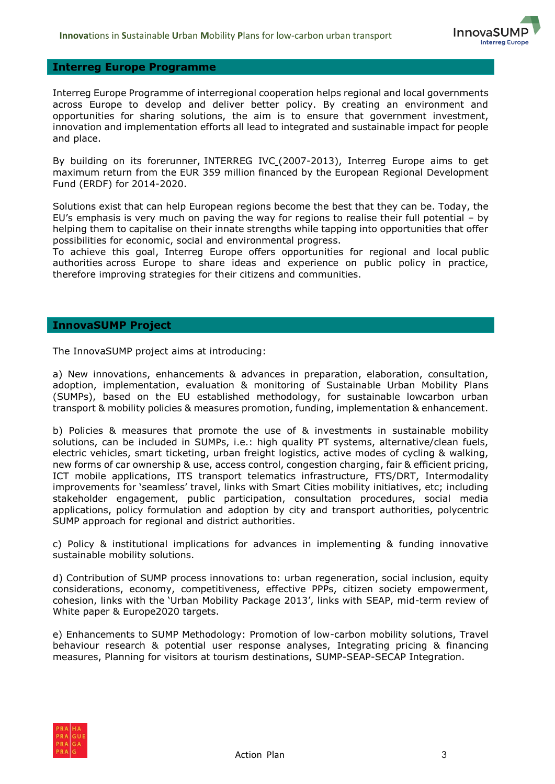

#### **Interreg Europe Programme**

Interreg Europe Programme of interregional cooperation helps regional and local governments across Europe to develop and deliver better policy. By creating an environment and opportunities for sharing solutions, the aim is to ensure that government investment, innovation and implementation efforts all lead to integrated and sustainable impact for people and place.

By building on its forerunner, [INTERREG IVC](http://www.interreg4c.eu/) (2007-2013), Interreg Europe aims to get maximum return from the EUR 359 million financed by the European Regional Development Fund (ERDF) for 2014-2020.

Solutions exist that can help European regions become the best that they can be. Today, the EU's emphasis is very much on paving the way for regions to realise their full potential – by helping them to capitalise on their innate strengths while tapping into opportunities that offer possibilities for economic, social and environmental progress.

To achieve this goal, Interreg Europe offers opportunities for regional and local public authorities across Europe to share ideas and experience on public policy in practice, therefore [improving strategies](https://www.interregeurope.eu/about-us/stats/) for their citizens and communities.

#### **InnovaSUMP Project**

The InnovaSUMP project aims at introducing:

a) New innovations, enhancements & advances in preparation, elaboration, consultation, adoption, implementation, evaluation & monitoring of Sustainable Urban Mobility Plans (SUMPs), based on the EU established methodology, for sustainable lowcarbon urban transport & mobility policies & measures promotion, funding, implementation & enhancement.

b) Policies & measures that promote the use of & investments in sustainable mobility solutions, can be included in SUMPs, i.e.: high quality PT systems, alternative/clean fuels, electric vehicles, smart ticketing, urban freight logistics, active modes of cycling & walking, new forms of car ownership & use, access control, congestion charging, fair & efficient pricing, ICT mobile applications, ITS transport telematics infrastructure, FTS/DRT, Intermodality improvements for 'seamless' travel, links with Smart Cities mobility initiatives, etc; including stakeholder engagement, public participation, consultation procedures, social media applications, policy formulation and adoption by city and transport authorities, polycentric SUMP approach for regional and district authorities.

c) Policy & institutional implications for advances in implementing & funding innovative sustainable mobility solutions.

d) Contribution of SUMP process innovations to: urban regeneration, social inclusion, equity considerations, economy, competitiveness, effective PPPs, citizen society empowerment, cohesion, links with the 'Urban Mobility Package 2013', links with SEAP, mid-term review of White paper & Europe2020 targets.

e) Enhancements to SUMP Methodology: Promotion of low-carbon mobility solutions, Travel behaviour research & potential user response analyses, Integrating pricing & financing measures, Planning for visitors at tourism destinations, SUMP-SEAP-SECAP Integration.

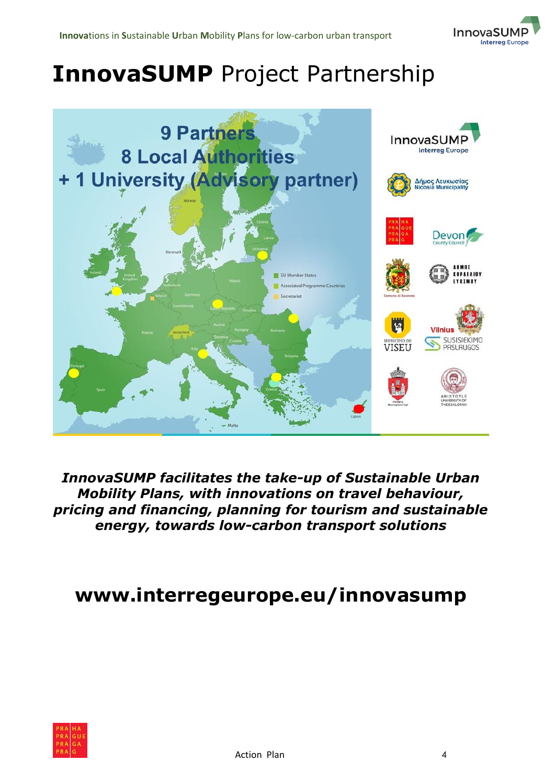

# **InnovaSUMP** Project Partnership



*InnovaSUMP facilitates the take-up of Sustainable Urban Mobility Plans, with innovations on travel behaviour, pricing and financing, planning for tourism and sustainable energy, towards low-carbon transport solutions*

### **www.interregeurope.eu/innovasump**

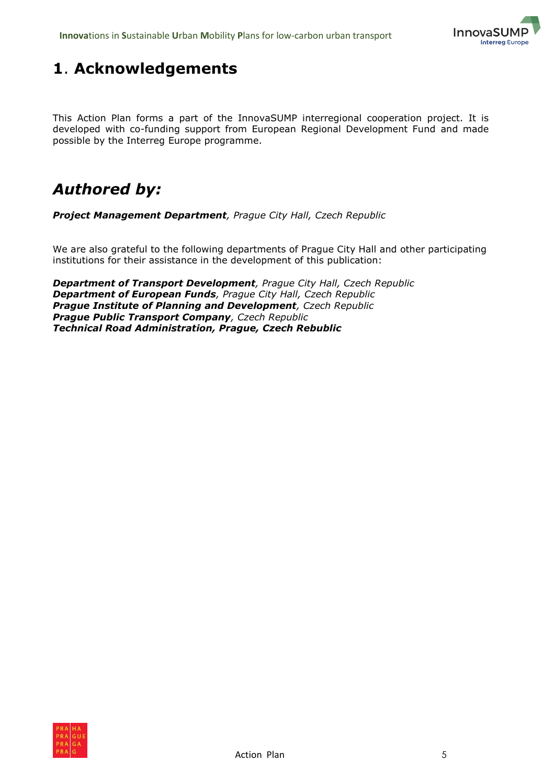

### <span id="page-4-0"></span>**1**. **Acknowledgements**

This Action Plan forms a part of the InnovaSUMP interregional cooperation project. It is developed with co-funding support from European Regional Development Fund and made possible by the Interreg Europe programme.

### *Authored by:*

*Project Management Department, Prague City Hall, Czech Republic*

We are also grateful to the following departments of Prague City Hall and other participating institutions for their assistance in the development of this publication:

*Department of Transport Development, Prague City Hall, Czech Republic Department of European Funds, Prague City Hall, Czech Republic Prague Institute of Planning and Development, Czech Republic Prague Public Transport Company, Czech Republic Technical Road Administration, Prague, Czech Rebublic*

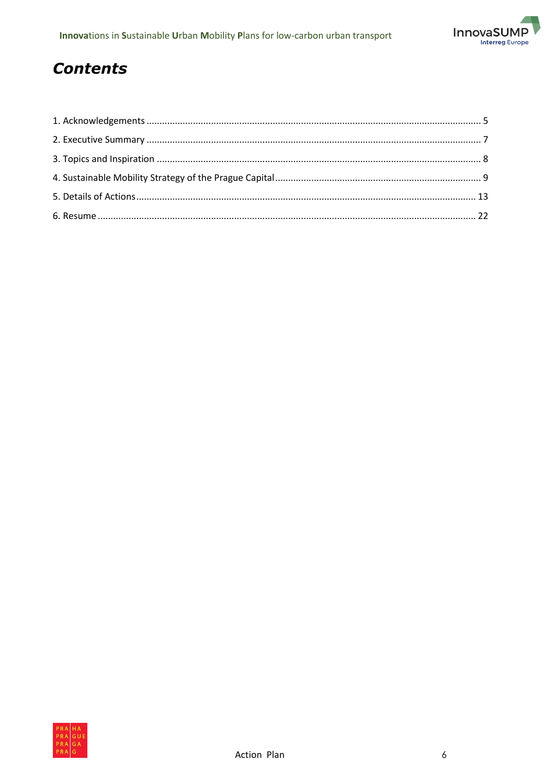

### **Contents**

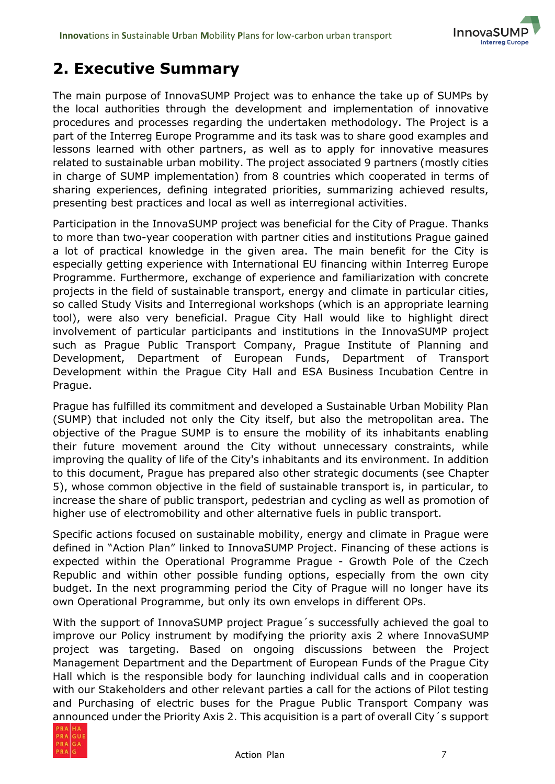

### <span id="page-6-0"></span>**2. Executive Summary**

The main purpose of InnovaSUMP Project was to enhance the take up of SUMPs by the local authorities through the development and implementation of innovative procedures and processes regarding the undertaken methodology. The Project is a part of the Interreg Europe Programme and its task was to share good examples and lessons learned with other partners, as well as to apply for innovative measures related to sustainable urban mobility. The project associated 9 partners (mostly cities in charge of SUMP implementation) from 8 countries which cooperated in terms of sharing experiences, defining integrated priorities, summarizing achieved results, presenting best practices and local as well as interregional activities.

Participation in the InnovaSUMP project was beneficial for the City of Prague. Thanks to more than two-year cooperation with partner cities and institutions Prague gained a lot of practical knowledge in the given area. The main benefit for the City is especially getting experience with International EU financing within Interreg Europe Programme. Furthermore, exchange of experience and familiarization with concrete projects in the field of sustainable transport, energy and climate in particular cities, so called Study Visits and Interregional workshops (which is an appropriate learning tool), were also very beneficial. Prague City Hall would like to highlight direct involvement of particular participants and institutions in the InnovaSUMP project such as Prague Public Transport Company, Prague Institute of Planning and Development, Department of European Funds, Department of Transport Development within the Prague City Hall and ESA Business Incubation Centre in Prague.

Prague has fulfilled its commitment and developed a Sustainable Urban Mobility Plan (SUMP) that included not only the City itself, but also the metropolitan area. The objective of the Prague SUMP is to ensure the mobility of its inhabitants enabling their future movement around the City without unnecessary constraints, while improving the quality of life of the City's inhabitants and its environment. In addition to this document, Prague has prepared also other strategic documents (see Chapter 5), whose common objective in the field of sustainable transport is, in particular, to increase the share of public transport, pedestrian and cycling as well as promotion of higher use of electromobility and other alternative fuels in public transport.

Specific actions focused on sustainable mobility, energy and climate in Prague were defined in "Action Plan" linked to InnovaSUMP Project. Financing of these actions is expected within the Operational Programme Prague - Growth Pole of the Czech Republic and within other possible funding options, especially from the own city budget. In the next programming period the City of Prague will no longer have its own Operational Programme, but only its own envelops in different OPs.

With the support of InnovaSUMP project Prague´s successfully achieved the goal to improve our Policy instrument by modifying the priority axis 2 where InnovaSUMP project was targeting. Based on ongoing discussions between the Project Management Department and the Department of European Funds of the Prague City Hall which is the responsible body for launching individual calls and in cooperation with our Stakeholders and other relevant parties a call for the actions of Pilot testing and Purchasing of electric buses for the Prague Public Transport Company was announced under the Priority Axis 2. This acquisition is a part of overall City´s support

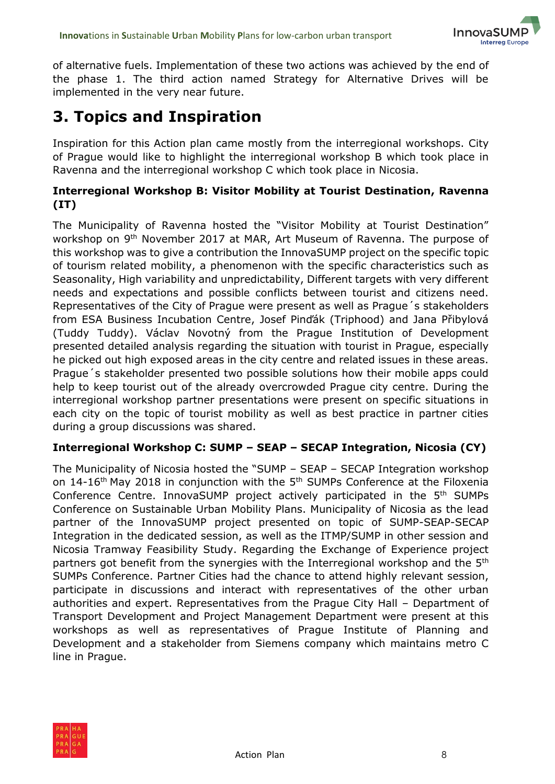

of alternative fuels. Implementation of these two actions was achieved by the end of the phase 1. The third action named Strategy for Alternative Drives will be implemented in the very near future.

### <span id="page-7-0"></span>**3. Topics and Inspiration**

Inspiration for this Action plan came mostly from the interregional workshops. City of Prague would like to highlight the interregional workshop B which took place in Ravenna and the interregional workshop C which took place in Nicosia.

#### **Interregional Workshop B: Visitor Mobility at Tourist Destination, Ravenna (IT)**

The Municipality of Ravenna hosted the "Visitor Mobility at Tourist Destination" workshop on 9<sup>th</sup> November 2017 at MAR, Art Museum of Ravenna. The purpose of this workshop was to give a contribution the InnovaSUMP project on the specific topic of tourism related mobility, a phenomenon with the specific characteristics such as Seasonality, High variability and unpredictability, Different targets with very different needs and expectations and possible conflicts between tourist and citizens need. Representatives of the City of Prague were present as well as Prague´s stakeholders from ESA Business Incubation Centre, Josef Pinďák (Triphood) and Jana Přibylová (Tuddy Tuddy). Václav Novotný from the Prague Institution of Development presented detailed analysis regarding the situation with tourist in Prague, especially he picked out high exposed areas in the city centre and related issues in these areas. Prague´s stakeholder presented two possible solutions how their mobile apps could help to keep tourist out of the already overcrowded Prague city centre. During the interregional workshop partner presentations were present on specific situations in each city on the topic of tourist mobility as well as best practice in partner cities during a group discussions was shared.

#### **Interregional Workshop C: SUMP – SEAP – SECAP Integration, Nicosia (CY)**

The Municipality of Nicosia hosted the "SUMP – SEAP – SECAP Integration workshop on 14-16<sup>th</sup> May 2018 in conjunction with the 5<sup>th</sup> SUMPs Conference at the Filoxenia Conference Centre. InnovaSUMP project actively participated in the 5th SUMPs Conference on Sustainable Urban Mobility Plans. Municipality of Nicosia as the lead partner of the InnovaSUMP project presented on topic of SUMP-SEAP-SECAP Integration in the dedicated session, as well as the ITMP/SUMP in other session and Nicosia Tramway Feasibility Study. Regarding the Exchange of Experience project partners got benefit from the synergies with the Interregional workshop and the 5<sup>th</sup> SUMPs Conference. Partner Cities had the chance to attend highly relevant session, participate in discussions and interact with representatives of the other urban authorities and expert. Representatives from the Prague City Hall – Department of Transport Development and Project Management Department were present at this workshops as well as representatives of Prague Institute of Planning and Development and a stakeholder from Siemens company which maintains metro C line in Prague.

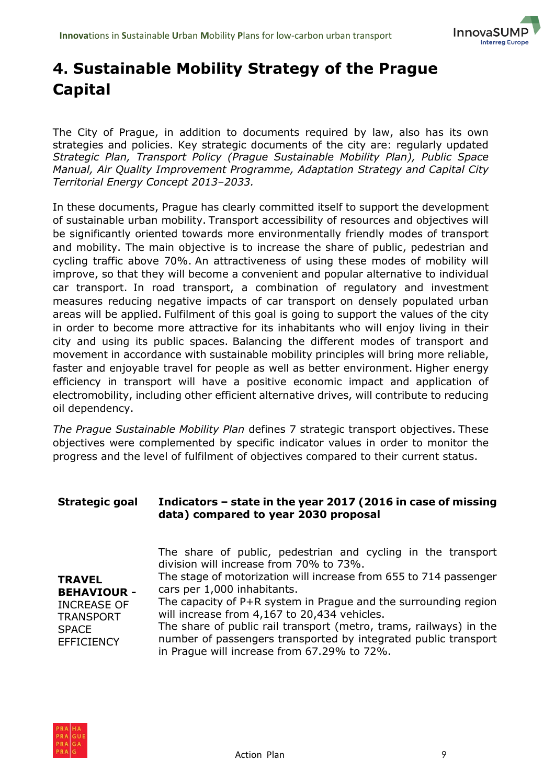

### <span id="page-8-0"></span>**4. Sustainable Mobility Strategy of the Prague Capital**

The City of Prague, in addition to documents required by law, also has its own strategies and policies. Key strategic documents of the city are: regularly updated *Strategic Plan, Transport Policy (Prague Sustainable Mobility Plan), Public Space Manual, Air Quality Improvement Programme, Adaptation Strategy and Capital City Territorial Energy Concept 2013–2033.*

In these documents, Prague has clearly committed itself to support the development of sustainable urban mobility. Transport accessibility of resources and objectives will be significantly oriented towards more environmentally friendly modes of transport and mobility. The main objective is to increase the share of public, pedestrian and cycling traffic above 70%. An attractiveness of using these modes of mobility will improve, so that they will become a convenient and popular alternative to individual car transport. In road transport, a combination of regulatory and investment measures reducing negative impacts of car transport on densely populated urban areas will be applied. Fulfilment of this goal is going to support the values of the city in order to become more attractive for its inhabitants who will enjoy living in their city and using its public spaces. Balancing the different modes of transport and movement in accordance with sustainable mobility principles will bring more reliable, faster and enjoyable travel for people as well as better environment. Higher energy efficiency in transport will have a positive economic impact and application of electromobility, including other efficient alternative drives, will contribute to reducing oil dependency.

*The Prague Sustainable Mobility Plan* defines 7 strategic transport objectives. These objectives were complemented by specific indicator values in order to monitor the progress and the level of fulfilment of objectives compared to their current status.

#### **Strategic goal Indicators – state in the year 2017 (2016 in case of missing data) compared to year 2030 proposal**

|                                        | The share of public, pedestrian and cycling in the transport<br>division will increase from 70% to 73%.           |
|----------------------------------------|-------------------------------------------------------------------------------------------------------------------|
| <b>TRAVEL</b>                          | The stage of motorization will increase from 655 to 714 passenger                                                 |
| <b>BEHAVIOUR -</b>                     | cars per 1,000 inhabitants.                                                                                       |
| <b>INCREASE OF</b><br><b>TRANSPORT</b> | The capacity of $P+R$ system in Prague and the surrounding region<br>will increase from 4,167 to 20,434 vehicles. |
| <b>SPACE</b>                           | The share of public rail transport (metro, trams, railways) in the                                                |
| <b>EFFICIENCY</b>                      | number of passengers transported by integrated public transport<br>in Prague will increase from 67.29% to 72%.    |

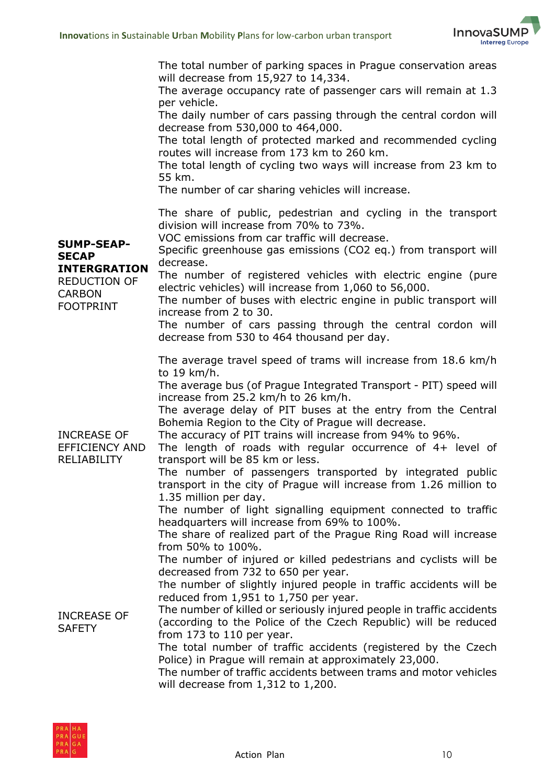

|                                                                                                                      | The total number of parking spaces in Prague conservation areas<br>will decrease from 15,927 to 14,334.<br>The average occupancy rate of passenger cars will remain at 1.3<br>per vehicle.<br>The daily number of cars passing through the central cordon will<br>decrease from 530,000 to 464,000.<br>The total length of protected marked and recommended cycling<br>routes will increase from 173 km to 260 km.<br>The total length of cycling two ways will increase from 23 km to<br>55 km.<br>The number of car sharing vehicles will increase.                                                                                                                                                                                                                                                                                                 |
|----------------------------------------------------------------------------------------------------------------------|-------------------------------------------------------------------------------------------------------------------------------------------------------------------------------------------------------------------------------------------------------------------------------------------------------------------------------------------------------------------------------------------------------------------------------------------------------------------------------------------------------------------------------------------------------------------------------------------------------------------------------------------------------------------------------------------------------------------------------------------------------------------------------------------------------------------------------------------------------|
| <b>SUMP-SEAP-</b><br><b>SECAP</b><br><b>INTERGRATION</b><br><b>REDUCTION OF</b><br><b>CARBON</b><br><b>FOOTPRINT</b> | The share of public, pedestrian and cycling in the transport<br>division will increase from 70% to 73%.<br>VOC emissions from car traffic will decrease.<br>Specific greenhouse gas emissions (CO2 eq.) from transport will<br>decrease.<br>The number of registered vehicles with electric engine (pure<br>electric vehicles) will increase from 1,060 to 56,000.<br>The number of buses with electric engine in public transport will<br>increase from 2 to 30.<br>The number of cars passing through the central cordon will<br>decrease from 530 to 464 thousand per day.                                                                                                                                                                                                                                                                         |
| <b>INCREASE OF</b><br><b>EFFICIENCY AND</b><br><b>RELIABILITY</b>                                                    | The average travel speed of trams will increase from 18.6 km/h<br>to 19 km/h.<br>The average bus (of Prague Integrated Transport - PIT) speed will<br>increase from 25.2 km/h to 26 km/h.<br>The average delay of PIT buses at the entry from the Central<br>Bohemia Region to the City of Prague will decrease.<br>The accuracy of PIT trains will increase from 94% to 96%.<br>The length of roads with regular occurrence of 4+ level of<br>transport will be 85 km or less.<br>The number of passengers transported by integrated public<br>transport in the city of Prague will increase from 1.26 million to<br>1.35 million per day.<br>The number of light signalling equipment connected to traffic<br>headquarters will increase from 69% to 100%.<br>The share of realized part of the Prague Ring Road will increase<br>from 50% to 100%. |
| <b>INCREASE OF</b><br><b>SAFETY</b>                                                                                  | The number of injured or killed pedestrians and cyclists will be<br>decreased from 732 to 650 per year.<br>The number of slightly injured people in traffic accidents will be<br>reduced from 1,951 to 1,750 per year.<br>The number of killed or seriously injured people in traffic accidents<br>(according to the Police of the Czech Republic) will be reduced<br>from 173 to 110 per year.<br>The total number of traffic accidents (registered by the Czech<br>Police) in Prague will remain at approximately 23,000.<br>The number of traffic accidents between trams and motor vehicles<br>will decrease from $1,312$ to $1,200$ .                                                                                                                                                                                                            |

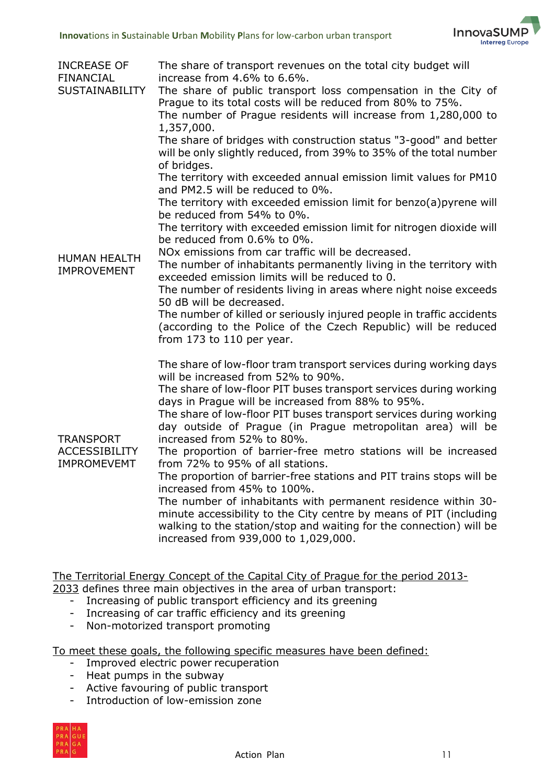

| <b>INCREASE OF</b><br><b>FINANCIAL</b><br><b>SUSTAINABILITY</b> | The share of transport revenues on the total city budget will<br>increase from 4.6% to 6.6%.<br>The share of public transport loss compensation in the City of<br>Prague to its total costs will be reduced from 80% to 75%.<br>The number of Prague residents will increase from 1,280,000 to<br>1,357,000.<br>The share of bridges with construction status "3-good" and better<br>will be only slightly reduced, from 39% to 35% of the total number<br>of bridges.<br>The territory with exceeded annual emission limit values for PM10<br>and PM2.5 will be reduced to 0%.                                                                                                                                                                                                                                                                                            |
|-----------------------------------------------------------------|----------------------------------------------------------------------------------------------------------------------------------------------------------------------------------------------------------------------------------------------------------------------------------------------------------------------------------------------------------------------------------------------------------------------------------------------------------------------------------------------------------------------------------------------------------------------------------------------------------------------------------------------------------------------------------------------------------------------------------------------------------------------------------------------------------------------------------------------------------------------------|
| <b>HUMAN HEALTH</b><br><b>IMPROVEMENT</b>                       | The territory with exceeded emission limit for benzo(a) pyrene will<br>be reduced from 54% to 0%.<br>The territory with exceeded emission limit for nitrogen dioxide will<br>be reduced from 0.6% to 0%.<br>NO <sub>x</sub> emissions from car traffic will be decreased.<br>The number of inhabitants permanently living in the territory with<br>exceeded emission limits will be reduced to 0.<br>The number of residents living in areas where night noise exceeds<br>50 dB will be decreased.<br>The number of killed or seriously injured people in traffic accidents<br>(according to the Police of the Czech Republic) will be reduced<br>from 173 to 110 per year.                                                                                                                                                                                                |
| <b>TRANSPORT</b><br><b>ACCESSIBILITY</b><br><b>IMPROMEVEMT</b>  | The share of low-floor tram transport services during working days<br>will be increased from 52% to 90%.<br>The share of low-floor PIT buses transport services during working<br>days in Prague will be increased from 88% to 95%.<br>The share of low-floor PIT buses transport services during working<br>day outside of Prague (in Prague metropolitan area) will be<br>increased from 52% to 80%.<br>The proportion of barrier-free metro stations will be increased<br>from 72% to 95% of all stations.<br>The proportion of barrier-free stations and PIT trains stops will be<br>increased from 45% to 100%.<br>The number of inhabitants with permanent residence within 30-<br>minute accessibility to the City centre by means of PIT (including<br>walking to the station/stop and waiting for the connection) will be<br>increased from 939,000 to 1,029,000. |

The Territorial Energy Concept of the Capital City of Prague for the period 2013-

2033 defines three main objectives in the area of urban transport:

- Increasing of public transport efficiency and its greening
- Increasing of car traffic efficiency and its greening
- Non-motorized transport promoting

To meet these goals, the following specific measures have been defined:

- Improved electric power recuperation
- Heat pumps in the subway
- Active favouring of public transport
- Introduction of low-emission zone

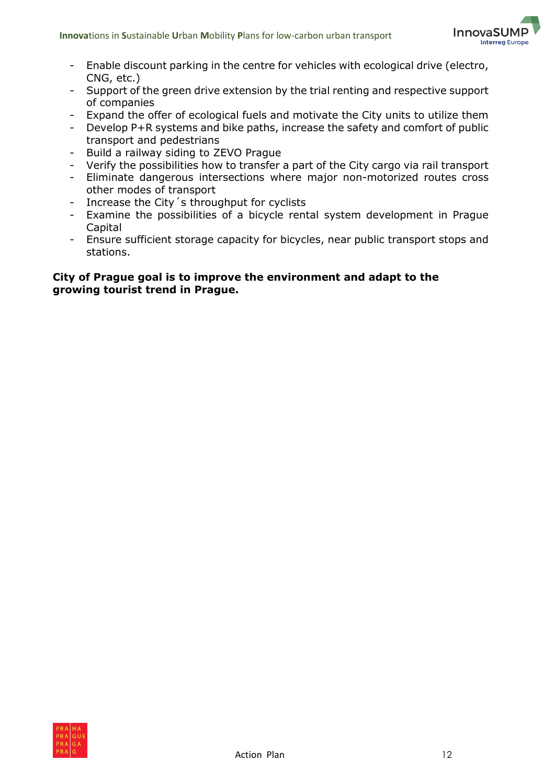

- Enable discount parking in the centre for vehicles with ecological drive (electro, CNG, etc.)
- Support of the green drive extension by the trial renting and respective support of companies
- Expand the offer of ecological fuels and motivate the City units to utilize them
- Develop P+R systems and bike paths, increase the safety and comfort of public transport and pedestrians
- Build a railway siding to ZEVO Prague
- Verify the possibilities how to transfer a part of the City cargo via rail transport
- Eliminate dangerous intersections where major non-motorized routes cross other modes of transport
- Increase the City´s throughput for cyclists
- Examine the possibilities of a bicycle rental system development in Prague Capital
- Ensure sufficient storage capacity for bicycles, near public transport stops and stations.

#### **City of Prague goal is to improve the environment and adapt to the growing tourist trend in Prague.**

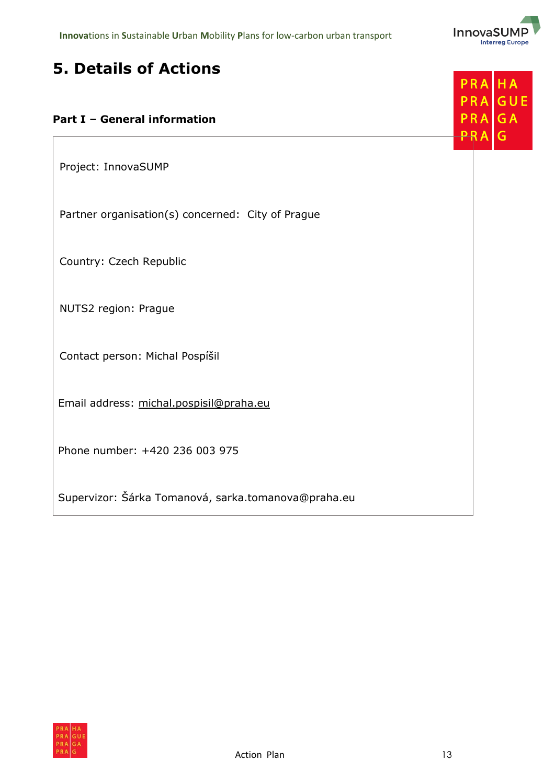

**HA** GUE

**GA** G

### <span id="page-12-0"></span>**5. Details of Actions**

#### **Part I – General information**

Project: InnovaSUMP

Partner organisation(s) concerned: City of Prague

Country: Czech Republic

NUTS2 region: Prague

Contact person: Michal Pospíšil

Email address: [michal.pospisil@praha.eu](mailto:michal.pospisil@praha.eu)

Phone number: +420 236 003 975

Supervizor: Šárka Tomanová, sarka.tomanova@praha.eu

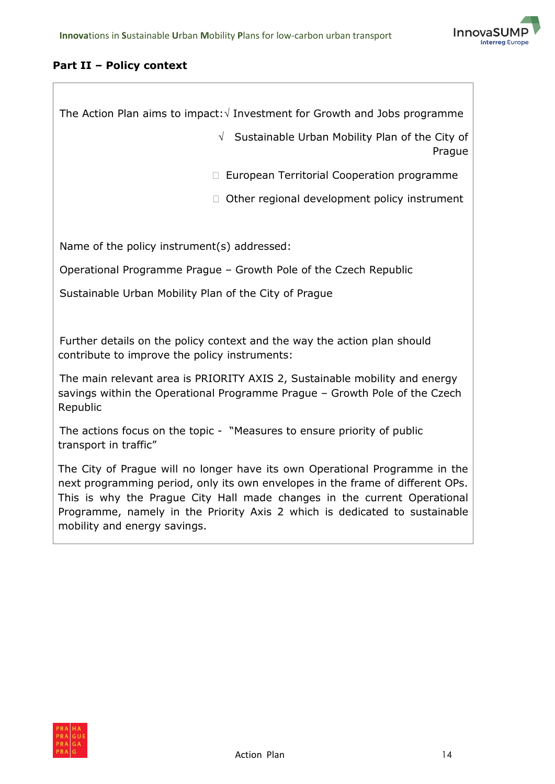

#### **Part II – Policy context**

mobility and energy savings.

| The Action Plan aims to impact: $\sqrt{}$ Investment for Growth and Jobs programme                                                                                                                                                                                                                                      |
|-------------------------------------------------------------------------------------------------------------------------------------------------------------------------------------------------------------------------------------------------------------------------------------------------------------------------|
| $\sqrt{ }$ Sustainable Urban Mobility Plan of the City of<br>Prague                                                                                                                                                                                                                                                     |
| European Territorial Cooperation programme<br>П.                                                                                                                                                                                                                                                                        |
| Other regional development policy instrument<br>П                                                                                                                                                                                                                                                                       |
|                                                                                                                                                                                                                                                                                                                         |
| Name of the policy instrument(s) addressed:                                                                                                                                                                                                                                                                             |
| Operational Programme Prague - Growth Pole of the Czech Republic                                                                                                                                                                                                                                                        |
| Sustainable Urban Mobility Plan of the City of Prague                                                                                                                                                                                                                                                                   |
|                                                                                                                                                                                                                                                                                                                         |
| Further details on the policy context and the way the action plan should<br>contribute to improve the policy instruments:                                                                                                                                                                                               |
| The main relevant area is PRIORITY AXIS 2, Sustainable mobility and energy<br>savings within the Operational Programme Prague - Growth Pole of the Czech<br>Republic                                                                                                                                                    |
| The actions focus on the topic - "Measures to ensure priority of public<br>transport in traffic"                                                                                                                                                                                                                        |
| The City of Prague will no longer have its own Operational Programme in the<br>next programming period, only its own envelopes in the frame of different OPs.<br>This is why the Prague City Hall made changes in the current Operational<br>Programme, namely in the Priority Axis 2 which is dedicated to sustainable |

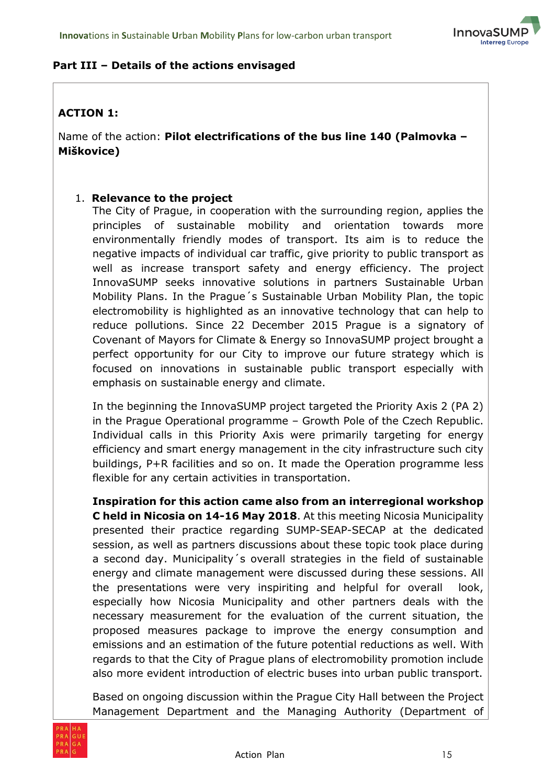

#### **Part III – Details of the actions envisaged**

#### **ACTION 1:**

Name of the action: **Pilot electrifications of the bus line 140 (Palmovka – Miškovice)**

#### 1. **Relevance to the project**

The City of Prague, in cooperation with the surrounding region, applies the principles of sustainable mobility and orientation towards more environmentally friendly modes of transport. Its aim is to reduce the negative impacts of individual car traffic, give priority to public transport as well as increase transport safety and energy efficiency. The project InnovaSUMP seeks innovative solutions in partners Sustainable Urban Mobility Plans. In the Prague´s Sustainable Urban Mobility Plan, the topic electromobility is highlighted as an innovative technology that can help to reduce pollutions. Since 22 December 2015 Prague is a signatory of Covenant of Mayors for Climate & Energy so InnovaSUMP project brought a perfect opportunity for our City to improve our future strategy which is focused on innovations in sustainable public transport especially with emphasis on sustainable energy and climate.

In the beginning the InnovaSUMP project targeted the Priority Axis 2 (PA 2) in the Prague Operational programme – Growth Pole of the Czech Republic. Individual calls in this Priority Axis were primarily targeting for energy efficiency and smart energy management in the city infrastructure such city buildings, P+R facilities and so on. It made the Operation programme less flexible for any certain activities in transportation.

**Inspiration for this action came also from an interregional workshop C held in Nicosia on 14-16 May 2018**. At this meeting Nicosia Municipality presented their practice regarding SUMP-SEAP-SECAP at the dedicated session, as well as partners discussions about these topic took place during a second day. Municipality´s overall strategies in the field of sustainable energy and climate management were discussed during these sessions. All the presentations were very inspiriting and helpful for overall look, especially how Nicosia Municipality and other partners deals with the necessary measurement for the evaluation of the current situation, the proposed measures package to improve the energy consumption and emissions and an estimation of the future potential reductions as well. With regards to that the City of Prague plans of electromobility promotion include also more evident introduction of electric buses into urban public transport.

Based on ongoing discussion within the Prague City Hall between the Project Management Department and the Managing Authority (Department of

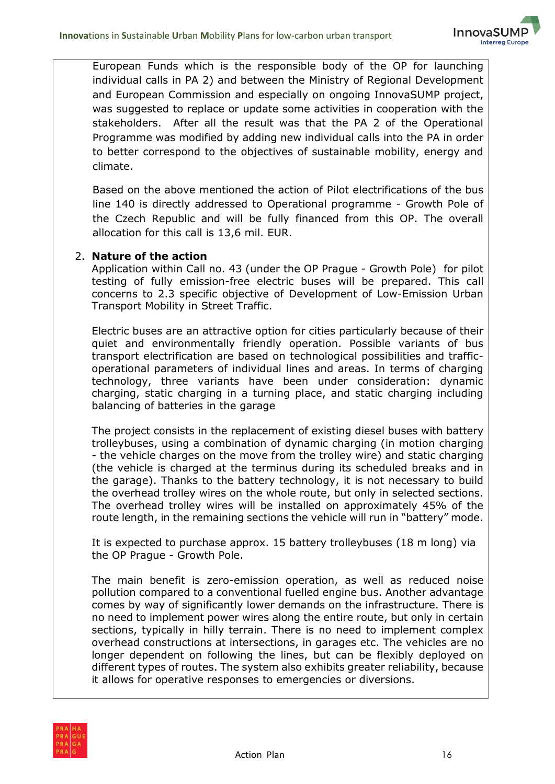

European Funds which is the responsible body of the OP for launching individual calls in PA 2) and between the Ministry of Regional Development and European Commission and especially on ongoing InnovaSUMP project, was suggested to replace or update some activities in cooperation with the stakeholders. After all the result was that the PA 2 of the Operational Programme was modified by adding new individual calls into the PA in order to better correspond to the objectives of sustainable mobility, energy and climate.

Based on the above mentioned the action of Pilot electrifications of the bus line 140 is directly addressed to Operational programme - Growth Pole of the Czech Republic and will be fully financed from this OP. The overall allocation for this call is 13,6 mil. EUR.

#### 2. **Nature of the action**

Application within Call no. 43 (under the OP Prague - Growth Pole) for pilot testing of fully emission-free electric buses will be prepared. This call concerns to 2.3 specific objective of Development of Low-Emission Urban Transport Mobility in Street Traffic.

Electric buses are an attractive option for cities particularly because of their quiet and environmentally friendly operation. Possible variants of bus transport electrification are based on technological possibilities and trafficoperational parameters of individual lines and areas. In terms of charging technology, three variants have been under consideration: dynamic charging, static charging in a turning place, and static charging including balancing of batteries in the garage

The project consists in the replacement of existing diesel buses with battery trolleybuses, using a combination of dynamic charging (in motion charging - the vehicle charges on the move from the trolley wire) and static charging (the vehicle is charged at the terminus during its scheduled breaks and in the garage). Thanks to the battery technology, it is not necessary to build the overhead trolley wires on the whole route, but only in selected sections. The overhead trolley wires will be installed on approximately 45% of the route length, in the remaining sections the vehicle will run in "battery" mode.

It is expected to purchase approx. 15 battery trolleybuses (18 m long) via the OP Prague - Growth Pole.

The main benefit is zero-emission operation, as well as reduced noise pollution compared to a conventional fuelled engine bus. Another advantage comes by way of significantly lower demands on the infrastructure. There is no need to implement power wires along the entire route, but only in certain sections, typically in hilly terrain. There is no need to implement complex overhead constructions at intersections, in garages etc. The vehicles are no longer dependent on following the lines, but can be flexibly deployed on different types of routes. The system also exhibits greater reliability, because it allows for operative responses to emergencies or diversions.

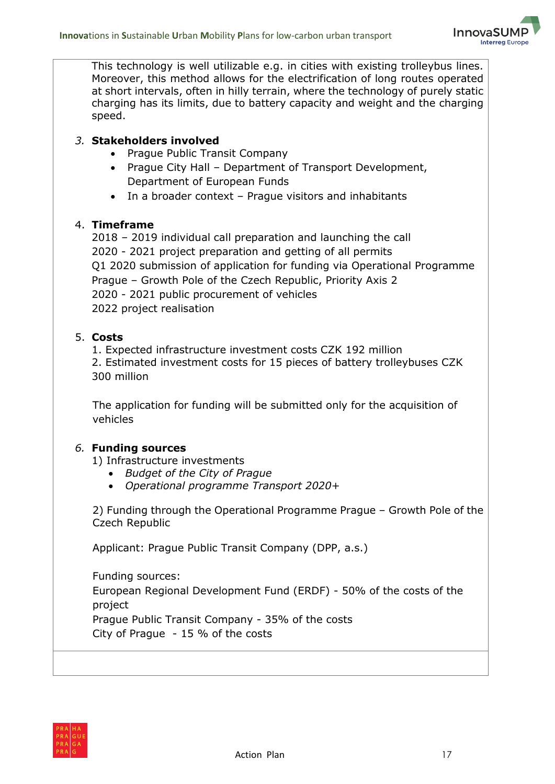

This technology is well utilizable e.g. in cities with existing trolleybus lines. Moreover, this method allows for the electrification of long routes operated at short intervals, often in hilly terrain, where the technology of purely static charging has its limits, due to battery capacity and weight and the charging speed.

#### *3.* **Stakeholders involved**

- Prague Public Transit Company
- Prague City Hall Department of Transport Development, Department of European Funds
- In a broader context Prague visitors and inhabitants

#### 4. **Timeframe**

2018 – 2019 individual call preparation and launching the call 2020 - 2021 project preparation and getting of all permits Q1 2020 submission of application for funding via Operational Programme Prague – Growth Pole of the Czech Republic, Priority Axis 2 2020 - 2021 public procurement of vehicles 2022 project realisation

#### 5. **Costs**

1. Expected infrastructure investment costs CZK 192 million 2. Estimated investment costs for 15 pieces of battery trolleybuses CZK 300 million

The application for funding will be submitted only for the acquisition of vehicles

#### *6.* **Funding sources**

1) Infrastructure investments

- *Budget of the City of Prague*
- *Operational programme Transport 2020+*

2) Funding through the Operational Programme Prague – Growth Pole of the Czech Republic

Applicant: Prague Public Transit Company (DPP, a.s.)

Funding sources: European Regional Development Fund (ERDF) - 50% of the costs of the project Prague Public Transit Company - 35% of the costs City of Prague - 15 % of the costs

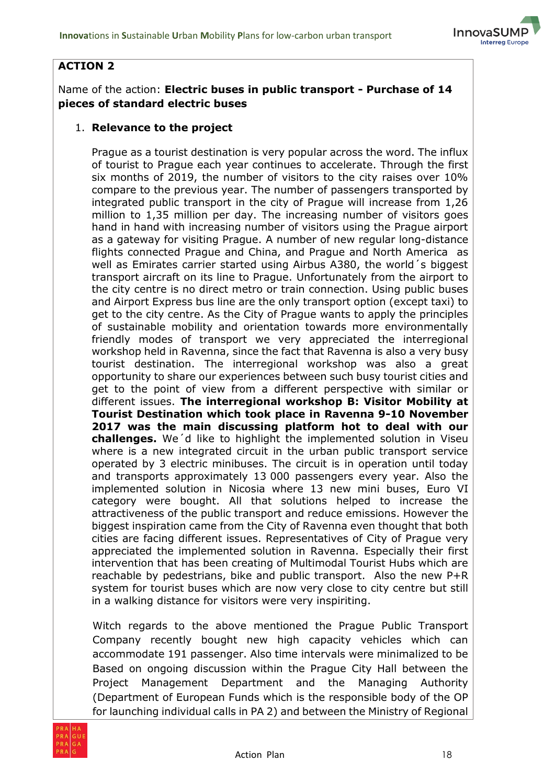

#### **ACTION 2**

#### Name of the action: **Electric buses in public transport - Purchase of 14 pieces of standard electric buses**

#### 1. **Relevance to the project**

Prague as a tourist destination is very popular across the word. The influx of tourist to Prague each year continues to accelerate. Through the first six months of 2019, the number of visitors to the city raises over 10% compare to the previous year. The number of passengers transported by integrated public transport in the city of Prague will increase from 1,26 million to 1,35 million per day. The increasing number of visitors goes hand in hand with increasing number of visitors using the Prague airport as a gateway for visiting Prague. A number of new regular long-distance flights connected Prague and China, and Prague and North America as well as Emirates carrier started using Airbus A380, the world´s biggest transport aircraft on its line to Prague. Unfortunately from the airport to the city centre is no direct metro or train connection. Using public buses and Airport Express bus line are the only transport option (except taxi) to get to the city centre. As the City of Prague wants to apply the principles of sustainable mobility and orientation towards more environmentally friendly modes of transport we very appreciated the interregional workshop held in Ravenna, since the fact that Ravenna is also a very busy tourist destination. The interregional workshop was also a great opportunity to share our experiences between such busy tourist cities and get to the point of view from a different perspective with similar or different issues. **The interregional workshop B: Visitor Mobility at Tourist Destination which took place in Ravenna 9-10 November 2017 was the main discussing platform hot to deal with our challenges.** We´d like to highlight the implemented solution in Viseu where is a new integrated circuit in the urban public transport service operated by 3 electric minibuses. The circuit is in operation until today and transports approximately 13 000 passengers every year. Also the implemented solution in Nicosia where 13 new mini buses, Euro VI category were bought. All that solutions helped to increase the attractiveness of the public transport and reduce emissions. However the biggest inspiration came from the City of Ravenna even thought that both cities are facing different issues. Representatives of City of Prague very appreciated the implemented solution in Ravenna. Especially their first intervention that has been creating of Multimodal Tourist Hubs which are reachable by pedestrians, bike and public transport. Also the new P+R system for tourist buses which are now very close to city centre but still in a walking distance for visitors were very inspiriting.

Witch regards to the above mentioned the Prague Public Transport Company recently bought new high capacity vehicles which can accommodate 191 passenger. Also time intervals were minimalized to be Based on ongoing discussion within the Prague City Hall between the Project Management Department and the Managing Authority (Department of European Funds which is the responsible body of the OP for launching individual calls in PA 2) and between the Ministry of Regional

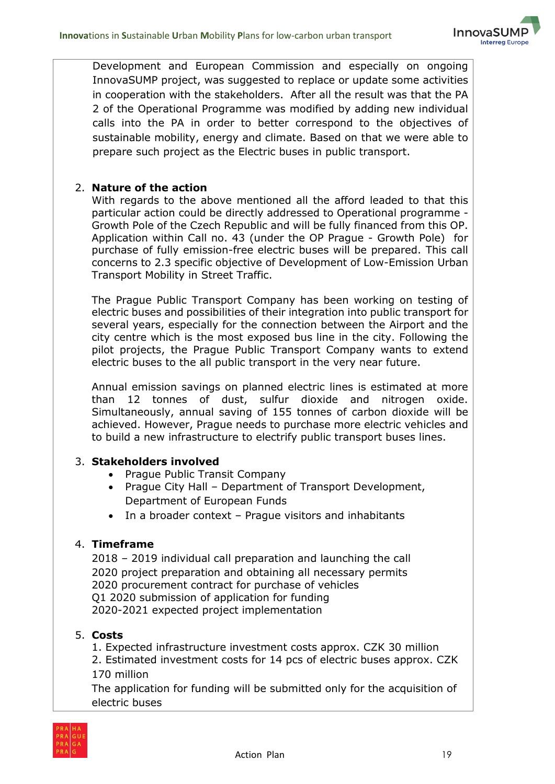

Development and European Commission and especially on ongoing InnovaSUMP project, was suggested to replace or update some activities in cooperation with the stakeholders. After all the result was that the PA 2 of the Operational Programme was modified by adding new individual calls into the PA in order to better correspond to the objectives of sustainable mobility, energy and climate. Based on that we were able to prepare such project as the Electric buses in public transport.

#### 2. **Nature of the action**

With regards to the above mentioned all the afford leaded to that this particular action could be directly addressed to Operational programme - Growth Pole of the Czech Republic and will be fully financed from this OP. Application within Call no. 43 (under the OP Prague - Growth Pole) for purchase of fully emission-free electric buses will be prepared. This call concerns to 2.3 specific objective of Development of Low-Emission Urban Transport Mobility in Street Traffic.

The Prague Public Transport Company has been working on testing of electric buses and possibilities of their integration into public transport for several years, especially for the connection between the Airport and the city centre which is the most exposed bus line in the city. Following the pilot projects, the Prague Public Transport Company wants to extend electric buses to the all public transport in the very near future.

Annual emission savings on planned electric lines is estimated at more than 12 tonnes of dust, sulfur dioxide and nitrogen oxide. Simultaneously, annual saving of 155 tonnes of carbon dioxide will be achieved. However, Prague needs to purchase more electric vehicles and to build a new infrastructure to electrify public transport buses lines.

#### 3. **Stakeholders involved**

- Prague Public Transit Company
- Prague City Hall Department of Transport Development, Department of European Funds
- In a broader context Prague visitors and inhabitants

#### 4. **Timeframe**

2018 – 2019 individual call preparation and launching the call 2020 project preparation and obtaining all necessary permits 2020 procurement contract for purchase of vehicles Q1 2020 submission of application for funding 2020-2021 expected project implementation

#### 5. **Costs**

1. Expected infrastructure investment costs approx. CZK 30 million

2. Estimated investment costs for 14 pcs of electric buses approx. CZK 170 million

The application for funding will be submitted only for the acquisition of electric buses

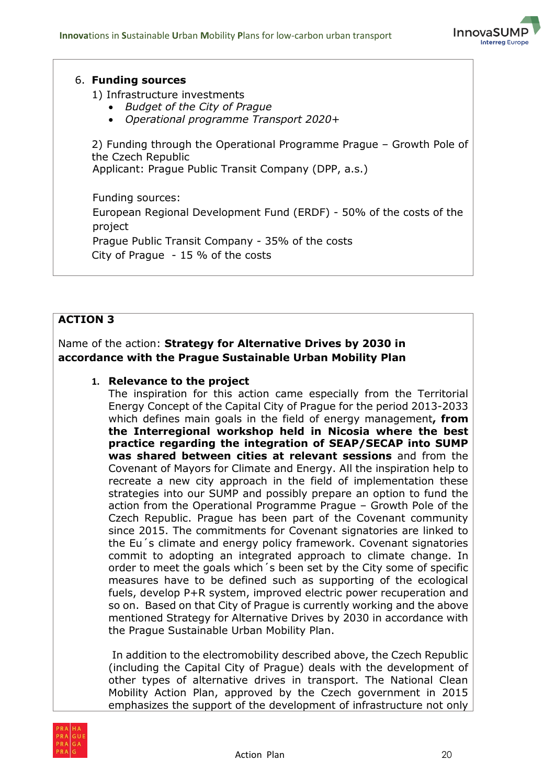

#### 6. **Funding sources**

1) Infrastructure investments

- *Budget of the City of Prague*
- *Operational programme Transport 2020+*

2) Funding through the Operational Programme Prague – Growth Pole of the Czech Republic Applicant: Prague Public Transit Company (DPP, a.s.)

Funding sources: European Regional Development Fund (ERDF) - 50% of the costs of the project Prague Public Transit Company - 35% of the costs City of Prague - 15 % of the costs

#### **ACTION 3**

#### Name of the action: **Strategy for Alternative Drives by 2030 in accordance with the Prague Sustainable Urban Mobility Plan**

#### **1. Relevance to the project**

The inspiration for this action came especially from the Territorial Energy Concept of the Capital City of Prague for the period 2013-2033 which defines main goals in the field of energy management**, from the Interregional workshop held in Nicosia where the best practice regarding the integration of SEAP/SECAP into SUMP was shared between cities at relevant sessions** and from the Covenant of Mayors for Climate and Energy. All the inspiration help to recreate a new city approach in the field of implementation these strategies into our SUMP and possibly prepare an option to fund the action from the Operational Programme Prague – Growth Pole of the Czech Republic. Prague has been part of the Covenant community since 2015. The commitments for Covenant signatories are linked to the Eu´s climate and energy policy framework. Covenant signatories commit to adopting an integrated approach to climate change. In order to meet the goals which´s been set by the City some of specific measures have to be defined such as supporting of the ecological fuels, develop P+R system, improved electric power recuperation and so on. Based on that City of Prague is currently working and the above mentioned Strategy for Alternative Drives by 2030 in accordance with the Prague Sustainable Urban Mobility Plan.

In addition to the electromobility described above, the Czech Republic (including the Capital City of Prague) deals with the development of other types of alternative drives in transport. The National Clean Mobility Action Plan, approved by the Czech government in 2015 emphasizes the support of the development of infrastructure not only

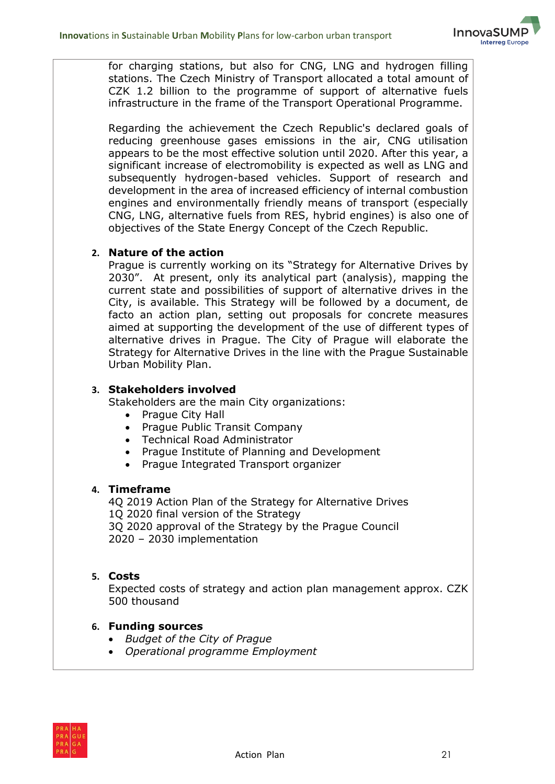

for charging stations, but also for CNG, LNG and hydrogen filling stations. The Czech Ministry of Transport allocated a total amount of CZK 1.2 billion to the programme of support of alternative fuels infrastructure in the frame of the Transport Operational Programme.

Regarding the achievement the Czech Republic's declared goals of reducing greenhouse gases emissions in the air, CNG utilisation appears to be the most effective solution until 2020. After this year, a significant increase of electromobility is expected as well as LNG and subsequently hydrogen-based vehicles. Support of research and development in the area of increased efficiency of internal combustion engines and environmentally friendly means of transport (especially CNG, LNG, alternative fuels from RES, hybrid engines) is also one of objectives of the State Energy Concept of the Czech Republic.

#### **2. Nature of the action**

Prague is currently working on its "Strategy for Alternative Drives by 2030". At present, only its analytical part (analysis), mapping the current state and possibilities of support of alternative drives in the City, is available. This Strategy will be followed by a document, de facto an action plan, setting out proposals for concrete measures aimed at supporting the development of the use of different types of alternative drives in Prague. The City of Prague will elaborate the Strategy for Alternative Drives in the line with the Prague Sustainable Urban Mobility Plan.

#### **3. Stakeholders involved**

Stakeholders are the main City organizations:

- Prague City Hall
- Prague Public Transit Company
- Technical Road Administrator
- Prague Institute of Planning and Development
- Prague Integrated Transport organizer

#### **4. Timeframe**

4Q 2019 Action Plan of the Strategy for Alternative Drives 1Q 2020 final version of the Strategy 3Q 2020 approval of the Strategy by the Prague Council 2020 – 2030 implementation

#### **5. Costs**

Expected costs of strategy and action plan management approx. CZK 500 thousand

#### **6. Funding sources**

- *Budget of the City of Prague*
- *Operational programme Employment*